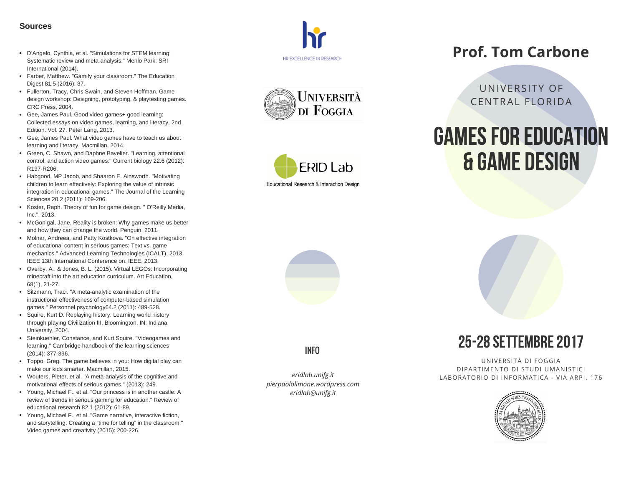- D'Angelo, Cynthia, et al. "Simulations for STEM learning: Systematic review and meta-analysis." Menlo Park: SRI International (2014).
- Farber, Matthew. "Gamify your classroom." The Educatio n Digest 81.5 (2016): 37.
- Fullerton, Tracy, Chris Swain, and Steven Hoffman. Game design workshop: Designing, prototyping, & playtesting games. CRC Press, 2004.
- Gee, James Paul. Good video games+ good learning: Collected essays on video games, learning, and literacy, 2nd Edition. Vol. 27. Peter Lang, 2013.
- Gee, James Paul. What video games have to teach us about learning and literacy. Macmillan, 2014.
- Green, C. Shawn, and Daphne Bavelier. "Learning, attentional control, and action video games." Current biology 22.6 (2012): R197-R206.
- Habgood, MP Jacob, and Shaaron E. Ainsworth. "Motivating children to learn effectively: Exploring the value of intrinsic integration in educational games." The Journal of the Learning Sciences 20.2 (2011): 169-206. **SOUITCES**<br>
• D'Angelo, Cynthia, et al. "Simulations for STI<br>
systematic review and meta-analysis." Menk<br>
International (2014).<br>
• International (2014).<br>
• Fulletton, Tracy, Chris Swain, and Steven He<br>
design workshop: Des
- Koster, Raph. Theory of fun for game design. " O'Reilly Media, Inc.", 2013.
- McGonigal, Jane. Reality is broken: Why games make us bette r and how they can change the world. Penguin, 2011.
- Molnar, Andreea, and Patty Kostkova. "On effective integration of educational content in serious games: Text vs. game mechanics." Advanced Learning Technologies (ICALT), 2013 IEEE 13th International Conference on. IEEE, 2013.
- Overby, A., & Jones, B. L. (2015). Virtual LEGOs: Incorporatin g minecraft into the art education curriculum. Art Education, 68(1), 21-27.
- Sitzmann, Traci. "A meta-analytic examination of the instructional effectiveness of computer‐based simulation games." Personnel psychology64.2 (2011): 489-528.
- Squire, Kurt D. Replaying history: Learning world history through playing Civilization III. Bloomington, IN: Indiana University, 2004.
- Steinkuehler, Constance, and Kurt Squire. "Videogames a n d learning." Cambridge handbook of the learning sciences (2014): 377-396.
- Toppo, Greg. The game believes in you: How digital play can make our kids smarter. Macmillan, 2015.
- Wouters, Pieter, et al. "A meta-analysis of the cognitive and motivational effects of serious games." (2013): 249.
- Young, Michael F., et al. "Our princess is in another castle: A review of trends in serious gaming for education." Review of educational research 82.1 (2012): 61-89.
- Young, Michael F., et al. "Game narrative, interactive fiction, and storytelling: Creating a "time for telling" in the classroom."







## **Prof. Tom Carbone**

UNIVERSITY OF CENTRAL FLORIDA

# GAMES FOR EDUCATION **& GAME DESIGN**





*e ri d l a b.u n ifg.i t p i e rp a o l o l i m o n e.w o r dp r e s s.c o m e ri d l a b @ u n ifg.i t*





U NIV E R SIT À DI F O G GIA DIPARTIMENTO DI STUDI UMANISTICI LABORATORIO DI INFORMATICA - VIA ARPI, 1 7 INFO<br>
UNIVERSITÀ DI FOGGIA<br>
DIPARTIMENTO DI STUDI UMANISTICI<br>
EABORATORIO DI INFORMATICA - VIA ARPI, 176